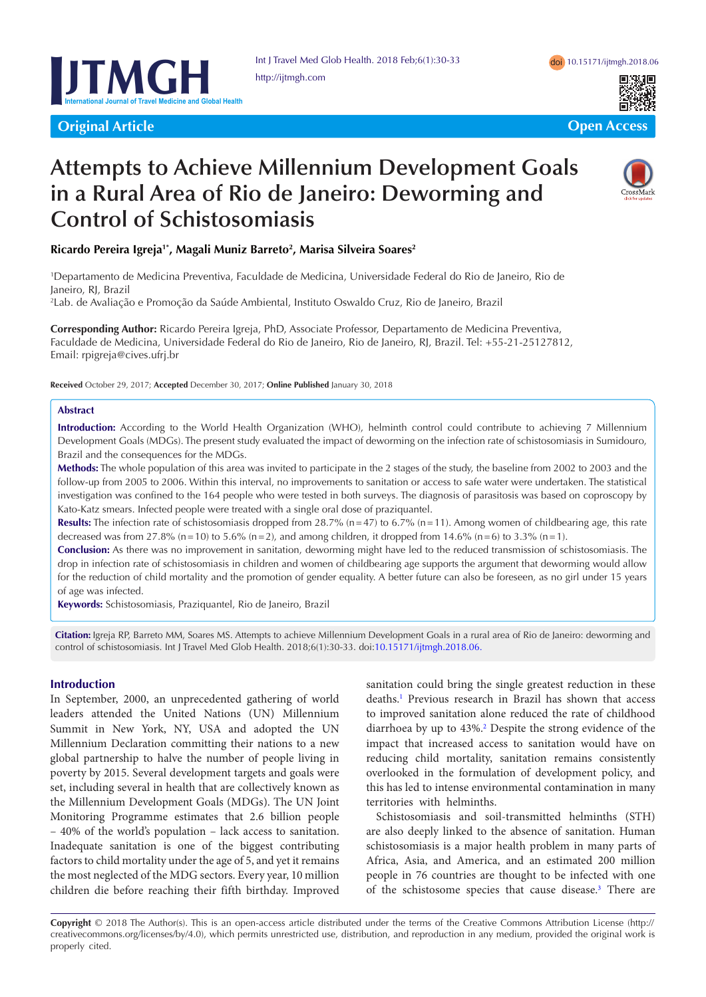

**Original Article Community Community Community Community Community Community Community Community Community Community** 



# **Attempts to Achieve Millennium Development Goals in a Rural Area of Rio de Janeiro: Deworming and Control of Schistosomiasis**



# **Ricardo Pereira Igreja1\*, Magali Muniz Barreto2 , Marisa Silveira Soares2**

1 Departamento de Medicina Preventiva, Faculdade de Medicina, Universidade Federal do Rio de Janeiro, Rio de Janeiro, RJ, Brazil

2 Lab. de Avaliação e Promoção da Saúde Ambiental, Instituto Oswaldo Cruz, Rio de Janeiro, Brazil

**Corresponding Author:** Ricardo Pereira Igreja, PhD, Associate Professor, Departamento de Medicina Preventiva, Faculdade de Medicina, Universidade Federal do Rio de Janeiro, Rio de Janeiro, RJ, Brazil. Tel: +55-21-25127812, Email: rpigreja@cives.ufrj.br

**Received** October 29, 2017; **Accepted** December 30, 2017; **Online Published** January 30, 2018

#### **Abstract**

**Introduction:** According to the World Health Organization (WHO), helminth control could contribute to achieving 7 Millennium Development Goals (MDGs). The present study evaluated the impact of deworming on the infection rate of schistosomiasis in Sumidouro, Brazil and the consequences for the MDGs.

**Methods:** The whole population of this area was invited to participate in the 2 stages of the study, the baseline from 2002 to 2003 and the follow-up from 2005 to 2006. Within this interval, no improvements to sanitation or access to safe water were undertaken. The statistical investigation was confined to the 164 people who were tested in both surveys. The diagnosis of parasitosis was based on coproscopy by Kato-Katz smears. Infected people were treated with a single oral dose of praziquantel.

**Results:** The infection rate of schistosomiasis dropped from 28.7% (n=47) to 6.7% (n=11). Among women of childbearing age, this rate decreased was from 27.8% (n=10) to 5.6% (n=2), and among children, it dropped from 14.6% (n=6) to 3.3% (n=1).

**Conclusion:** As there was no improvement in sanitation, deworming might have led to the reduced transmission of schistosomiasis. The drop in infection rate of schistosomiasis in children and women of childbearing age supports the argument that deworming would allow for the reduction of child mortality and the promotion of gender equality. A better future can also be foreseen, as no girl under 15 years of age was infected.

**Keywords:** Schistosomiasis, Praziquantel, Rio de Janeiro, Brazil

**Citation:** Igreja RP, Barreto MM, Soares MS. Attempts to achieve Millennium Development Goals in a rural area of Rio de Janeiro: deworming and control of schistosomiasis. Int J Travel Med Glob Health. 2018;6(1):30-33. doi[:10.15171/ijtmgh.2018.06.](https://doi.org/10.15171/ijtmgh.2018.06)

# **Introduction**

In September, 2000, an unprecedented gathering of world leaders attended the United Nations (UN) Millennium Summit in New York, NY, USA and adopted the UN Millennium Declaration committing their nations to a new global partnership to halve the number of people living in poverty by 2015. Several development targets and goals were set, including several in health that are collectively known as the Millennium Development Goals (MDGs). The UN Joint Monitoring Programme estimates that 2.6 billion people – 40% of the world's population – lack access to sanitation. Inadequate sanitation is one of the biggest contributing factors to child mortality under the age of 5, and yet it remains the most neglected of the MDG sectors. Every year, 10 million children die before reaching their fifth birthday. Improved

sanitation could bring the single greatest reduction in these deaths.[1](#page-2-0) Previous research in Brazil has shown that access to improved sanitation alone reduced the rate of childhood diarrhoea by up to 43%.[2](#page-2-1) Despite the strong evidence of the impact that increased access to sanitation would have on reducing child mortality, sanitation remains consistently overlooked in the formulation of development policy, and this has led to intense environmental contamination in many territories with helminths.

Schistosomiasis and soil-transmitted helminths (STH) are also deeply linked to the absence of sanitation. Human schistosomiasis is a major health problem in many parts of Africa, Asia, and America, and an estimated 200 million people in 76 countries are thought to be infected with one of the schistosome species that cause disease.<sup>3</sup> There are

**Copyright** © 2018 The Author(s). This is an open-access article distributed under the terms of the Creative Commons Attribution License (http:// creativecommons.org/licenses/by/4.0), which permits unrestricted use, distribution, and reproduction in any medium, provided the original work is properly cited.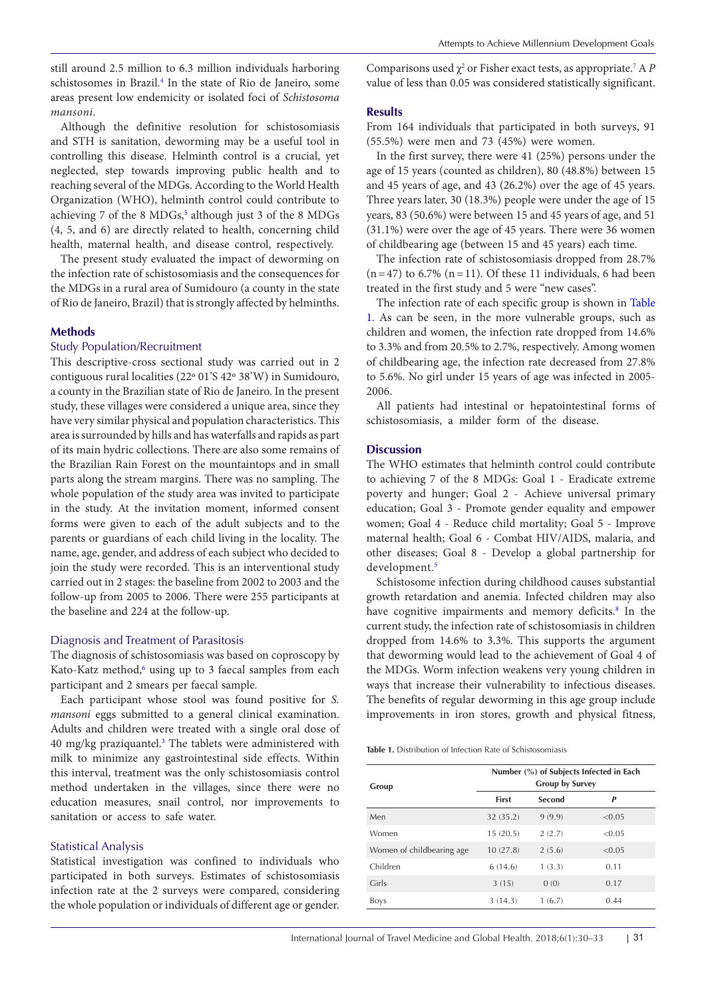still around 2.5 million to 6.3 million individuals harboring schistosomes in Brazil.<sup>4</sup> In the state of Rio de Janeiro, some areas present low endemicity or isolated foci of *Schistosoma mansoni*.

Although the definitive resolution for schistosomiasis and STH is sanitation, deworming may be a useful tool in controlling this disease. Helminth control is a crucial, yet neglected, step towards improving public health and to reaching several of the MDGs. According to the World Health Organization (WHO), helminth control could contribute to achieving 7 of the 8 MDGs,<sup>5</sup> although just 3 of the 8 MDGs (4, 5, and 6) are directly related to health, concerning child health, maternal health, and disease control, respectively.

The present study evaluated the impact of deworming on the infection rate of schistosomiasis and the consequences for the MDGs in a rural area of Sumidouro (a county in the state of Rio de Janeiro, Brazil) that is strongly affected by helminths.

#### **Methods**

# Study Population/Recruitment

This descriptive-cross sectional study was carried out in 2 contiguous rural localities (22º 01'S 42º 38'W) in Sumidouro, a county in the Brazilian state of Rio de Janeiro. In the present study, these villages were considered a unique area, since they have very similar physical and population characteristics. This area is surrounded by hills and has waterfalls and rapids as part of its main hydric collections. There are also some remains of the Brazilian Rain Forest on the mountaintops and in small parts along the stream margins. There was no sampling. The whole population of the study area was invited to participate in the study. At the invitation moment, informed consent forms were given to each of the adult subjects and to the parents or guardians of each child living in the locality. The name, age, gender, and address of each subject who decided to join the study were recorded. This is an interventional study carried out in 2 stages: the baseline from 2002 to 2003 and the follow-up from 2005 to 2006. There were 255 participants at the baseline and 224 at the follow-up.

#### Diagnosis and Treatment of Parasitosis

The diagnosis of schistosomiasis was based on coproscopy by Kato-Katz method,<sup>[6](#page-2-5)</sup> using up to 3 faecal samples from each participant and 2 smears per faecal sample.

Each participant whose stool was found positive for *S. mansoni* eggs submitted to a general clinical examination. Adults and children were treated with a single oral dose of 40 mg/kg praziquantel.<sup>3</sup> The tablets were administered with milk to minimize any gastrointestinal side effects. Within this interval, treatment was the only schistosomiasis control method undertaken in the villages, since there were no education measures, snail control, nor improvements to sanitation or access to safe water.

# Statistical Analysis

Statistical investigation was confined to individuals who participated in both surveys. Estimates of schistosomiasis infection rate at the 2 surveys were compared, considering the whole population or individuals of different age or gender. Comparisons used  $\chi^2$  or Fisher exact tests, as appropriate.<sup>7</sup> A *P* value of less than 0.05 was considered statistically significant.

#### **Results**

From 164 individuals that participated in both surveys, 91 (55.5%) were men and 73 (45%) were women.

In the first survey, there were 41 (25%) persons under the age of 15 years (counted as children), 80 (48.8%) between 15 and 45 years of age, and 43 (26.2%) over the age of 45 years. Three years later, 30 (18.3%) people were under the age of 15 years, 83 (50.6%) were between 15 and 45 years of age, and 51 (31.1%) were over the age of 45 years. There were 36 women of childbearing age (between 15 and 45 years) each time.

The infection rate of schistosomiasis dropped from 28.7%  $(n=47)$  to 6.7%  $(n=11)$ . Of these 11 individuals, 6 had been treated in the first study and 5 were "new cases".

The infection rate of each specific group is shown in [Table](#page-1-0)  [1.](#page-1-0) As can be seen, in the more vulnerable groups, such as children and women, the infection rate dropped from 14.6% to 3.3% and from 20.5% to 2.7%, respectively. Among women of childbearing age, the infection rate decreased from 27.8% to 5.6%. No girl under 15 years of age was infected in 2005- 2006.

All patients had intestinal or hepatointestinal forms of schistosomiasis, a milder form of the disease.

#### **Discussion**

The WHO estimates that helminth control could contribute to achieving 7 of the 8 MDGs: Goal 1 - Eradicate extreme poverty and hunger; Goal 2 - Achieve universal primary education; Goal 3 - Promote gender equality and empower women; Goal 4 - Reduce child mortality; Goal 5 - Improve maternal health; Goal 6 - Combat HIV/AIDS, malaria, and other diseases; Goal 8 - Develop a global partnership for development.<sup>[5](#page-2-4)</sup>

Schistosome infection during childhood causes substantial growth retardation and anemia. Infected children may also have cognitive impairments and memory deficits.<sup>8</sup> In the current study, the infection rate of schistosomiasis in children dropped from 14.6% to 3.3%. This supports the argument that deworming would lead to the achievement of Goal 4 of the MDGs. Worm infection weakens very young children in ways that increase their vulnerability to infectious diseases. The benefits of regular deworming in this age group include improvements in iron stores, growth and physical fitness,

<span id="page-1-0"></span>**Table 1.** Distribution of Infection Rate of Schistosomiasis

| Group                     | Number (%) of Subjects Infected in Each<br><b>Group by Survey</b> |        |        |
|---------------------------|-------------------------------------------------------------------|--------|--------|
|                           | <b>First</b>                                                      | Second | P      |
| Men                       | 32 (35.2)                                                         | 9(9.9) | < 0.05 |
| Women                     | 15(20.5)                                                          | 2(2.7) | < 0.05 |
| Women of childbearing age | 10(27.8)                                                          | 2(5.6) | < 0.05 |
| Children                  | 6(14.6)                                                           | 1(3.3) | 0.11   |
| Girls                     | 3(15)                                                             | 0(0)   | 0.17   |
| <b>Boys</b>               | 3(14.3)                                                           | 1(6.7) | 0.44   |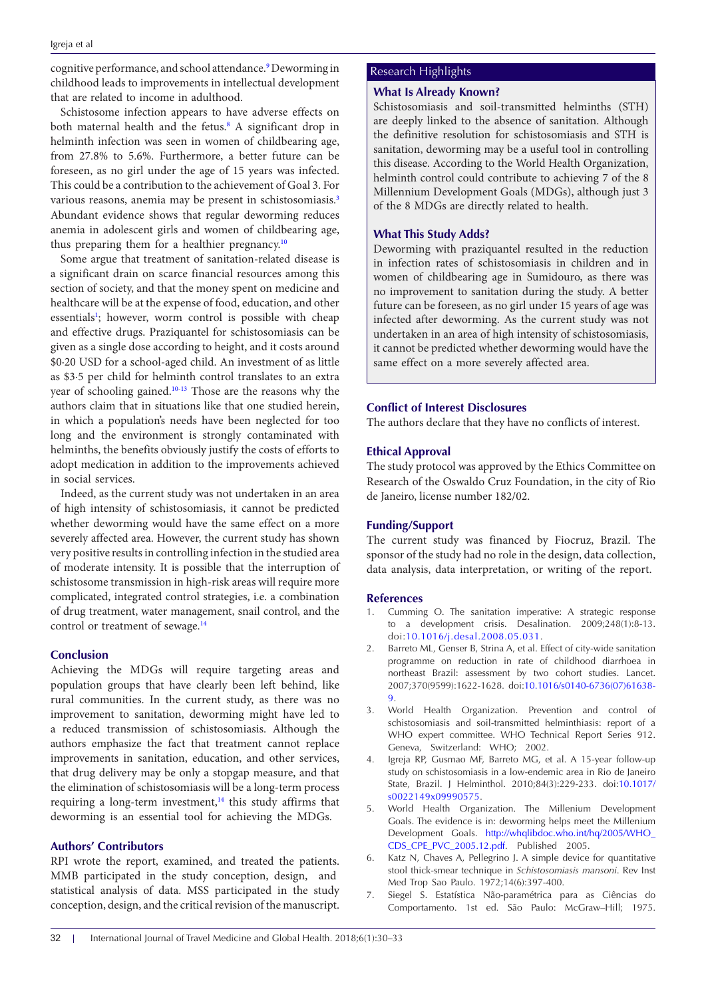cognitive performance, and school attendance.<sup>[9](#page-3-1)</sup> Deworming in childhood leads to improvements in intellectual development that are related to income in adulthood.

Schistosome infection appears to have adverse effects on both maternal health and the fetus.<sup>8</sup> A significant drop in helminth infection was seen in women of childbearing age, from 27.8% to 5.6%. Furthermore, a better future can be foreseen, as no girl under the age of 15 years was infected. This could be a contribution to the achievement of Goal 3. For various reasons, anemia may be present in schistosomiasis.<sup>[3](#page-2-2)</sup> Abundant evidence shows that regular deworming reduces anemia in adolescent girls and women of childbearing age, thus preparing them for a healthier pregnancy.[10](#page-3-2)

Some argue that treatment of sanitation-related disease is a significant drain on scarce financial resources among this section of society, and that the money spent on medicine and healthcare will be at the expense of food, education, and other essentials<sup>1</sup>; however, worm control is possible with cheap and effective drugs. Praziquantel for schistosomiasis can be given as a single dose according to height, and it costs around \$0·20 USD for a school-aged child. An investment of as little as \$3·5 per child for helminth control translates to an extra year of schooling gained.[10](#page-3-2)[-13](#page-3-3) Those are the reasons why the authors claim that in situations like that one studied herein, in which a population's needs have been neglected for too long and the environment is strongly contaminated with helminths, the benefits obviously justify the costs of efforts to adopt medication in addition to the improvements achieved in social services.

Indeed, as the current study was not undertaken in an area of high intensity of schistosomiasis, it cannot be predicted whether deworming would have the same effect on a more severely affected area. However, the current study has shown very positive results in controlling infection in the studied area of moderate intensity. It is possible that the interruption of schistosome transmission in high-risk areas will require more complicated, integrated control strategies, i.e. a combination of drug treatment, water management, snail control, and the control or treatment of sewage.<sup>[14](#page-3-4)</sup>

# **Conclusion**

Achieving the MDGs will require targeting areas and population groups that have clearly been left behind, like rural communities. In the current study, as there was no improvement to sanitation, deworming might have led to a reduced transmission of schistosomiasis. Although the authors emphasize the fact that treatment cannot replace improvements in sanitation, education, and other services, that drug delivery may be only a stopgap measure, and that the elimination of schistosomiasis will be a long-term process requiring a long-term investment, $14$  this study affirms that deworming is an essential tool for achieving the MDGs.

# **Authors' Contributors**

RPI wrote the report, examined, and treated the patients. MMB participated in the study conception, design, and statistical analysis of data. MSS participated in the study conception, design, and the critical revision of the manuscript.

# Research Highlights

#### **What Is Already Known?**

Schistosomiasis and soil-transmitted helminths (STH) are deeply linked to the absence of sanitation. Although the definitive resolution for schistosomiasis and STH is sanitation, deworming may be a useful tool in controlling this disease. According to the World Health Organization, helminth control could contribute to achieving 7 of the 8 Millennium Development Goals (MDGs), although just 3 of the 8 MDGs are directly related to health.

# **What This Study Adds?**

Deworming with praziquantel resulted in the reduction in infection rates of schistosomiasis in children and in women of childbearing age in Sumidouro, as there was no improvement to sanitation during the study. A better future can be foreseen, as no girl under 15 years of age was infected after deworming. As the current study was not undertaken in an area of high intensity of schistosomiasis, it cannot be predicted whether deworming would have the same effect on a more severely affected area.

# **Conflict of Interest Disclosures**

The authors declare that they have no conflicts of interest.

#### **Ethical Approval**

The study protocol was approved by the Ethics Committee on Research of the Oswaldo Cruz Foundation, in the city of Rio de Janeiro, license number 182/02.

# **Funding/Support**

The current study was financed by Fiocruz, Brazil. The sponsor of the study had no role in the design, data collection, data analysis, data interpretation, or writing of the report.

#### **References**

- <span id="page-2-0"></span>1. Cumming O. The sanitation imperative: A strategic response to a development crisis. Desalination. 2009;248(1):8-13. doi:[10.1016/j.desal.2008.05.031.](https://doi.org/10.1016/j.desal.2008.05.031)
- <span id="page-2-1"></span>2. Barreto ML, Genser B, Strina A, et al. Effect of city-wide sanitation programme on reduction in rate of childhood diarrhoea in northeast Brazil: assessment by two cohort studies. Lancet. 2007;370(9599):1622-1628. doi:10.1016/s0140-6736(07)61638- 9.
- <span id="page-2-2"></span>3. World Health Organization. Prevention and control of schistosomiasis and soil-transmitted helminthiasis: report of a WHO expert committee. WHO Technical Report Series 912. Geneva, Switzerland: WHO; 2002.
- <span id="page-2-3"></span>4. Igreja RP, Gusmao MF, Barreto MG, et al. A 15-year follow-up study on schistosomiasis in a low-endemic area in Rio de Janeiro State, Brazil. J Helminthol. 2010;84(3):229-233. doi:[10.1017/](https://doi.org/10.1017/s0022149x09990575) [s0022149x09990575.](https://doi.org/10.1017/s0022149x09990575)
- <span id="page-2-4"></span>5. World Health Organization. The Millenium Development Goals. The evidence is in: deworming helps meet the Millenium Development Goals. [http://whqlibdoc.who.int/hq/2005/WHO\\_](http://whqlibdoc.who.int/hq/2005/WHO_CDS_CPE_PVC_2005.12.pdf) [CDS\\_CPE\\_PVC\\_2005.12.pdf.](http://whqlibdoc.who.int/hq/2005/WHO_CDS_CPE_PVC_2005.12.pdf) Published 2005.
- <span id="page-2-5"></span>6. Katz N, Chaves A, Pellegrino J. A simple device for quantitative stool thick-smear technique in *Schistosomiasis mansoni*. Rev Inst Med Trop Sao Paulo. 1972;14(6):397-400.
- 7. Siegel S. Estatística Não-paramétrica para as Ciências do Comportamento. 1st ed. São Paulo: McGraw–Hill; 1975.